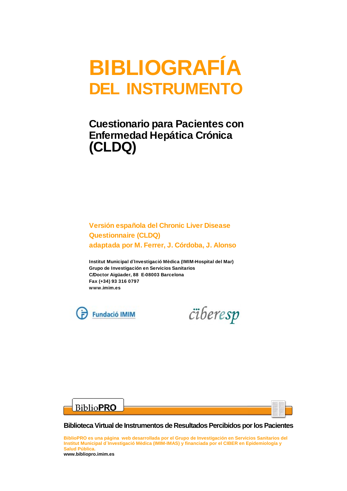# BIBLIOGRAFÍA DEL INSTRUMENTO

## Cuestionario para Pacientes con Enfermedad Hepática Crónica (CLDQ)

### Versión española del Chronic Liver Disease Questionnaire (CLDQ) adaptada por M. Ferrer, J. Córdoba, J. Alonso

Institut Municipal d´Investigació Mèdica (IMIM-Hospital del Mar) Grupo de Investigación en Servicios Sanitarios C/Doctor Aigüader, 88 E-08003 Barcelona Fax (+34) 93 316 0797 www.imim.es

**Fundació IMIM** 







**Biblioteca Virtual de Instrumentos de Resultados Percibidos por los Pacientes**

**BiblioPRO es una página web desarrollada por el Grupo de Investigación en Servicios Sanitarios del Institut Municipal d´Investigació Mèdica (IMIM-IMAS) y financiada por el CIBER en Epidemiología y Salud Pública. www.bibliopro.imim.es**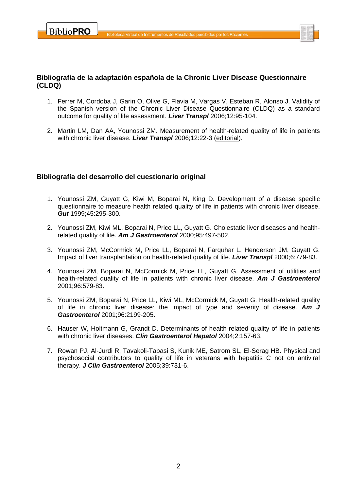

#### **Bibliografía de la adaptación española de la Chronic Liver Disease Questionnaire (CLDQ)**

- 1. Ferrer M, Cordoba J, Garin O, Olive G, Flavia M, Vargas V, Esteban R, Alonso J. Validity of the Spanish version of the Chronic Liver Disease Questionnaire (CLDQ) as a standard outcome for quality of life assessment. *Liver Transpl* 2006;12:95-104.
- 2. Martin LM, Dan AA, Younossi ZM. Measurement of health-related quality of life in patients with chronic liver disease. *Liver Transpl* 2006;12:22-3 (editorial).

#### **Bibliografía del desarrollo del cuestionario original**

- 1. Younossi ZM, Guyatt G, Kiwi M, Boparai N, King D. Development of a disease specific questionnaire to measure health related quality of life in patients with chronic liver disease. *Gut* 1999;45:295-300.
- 2. Younossi ZM, Kiwi ML, Boparai N, Price LL, Guyatt G. Cholestatic liver diseases and healthrelated quality of life. *Am J Gastroenterol* 2000;95:497-502.
- 3. Younossi ZM, McCormick M, Price LL, Boparai N, Farquhar L, Henderson JM, Guyatt G. Impact of liver transplantation on health-related quality of life. *Liver Transpl* 2000;6:779-83.
- 4. Younossi ZM, Boparai N, McCormick M, Price LL, Guyatt G. Assessment of utilities and health-related quality of life in patients with chronic liver disease. *Am J Gastroenterol* 2001;96:579-83.
- 5. Younossi ZM, Boparai N, Price LL, Kiwi ML, McCormick M, Guyatt G. Health-related quality of life in chronic liver disease: the impact of type and severity of disease. *Am J Gastroenterol* 2001;96:2199-205.
- 6. Hauser W, Holtmann G, Grandt D. Determinants of health-related quality of life in patients with chronic liver diseases. *Clin Gastroenterol Hepatol* 2004;2:157-63.
- 7. Rowan PJ, Al-Jurdi R, Tavakoli-Tabasi S, Kunik ME, Satrom SL, El-Serag HB. Physical and psychosocial contributors to quality of life in veterans with hepatitis C not on antiviral therapy. *J Clin Gastroenterol* 2005;39:731-6.